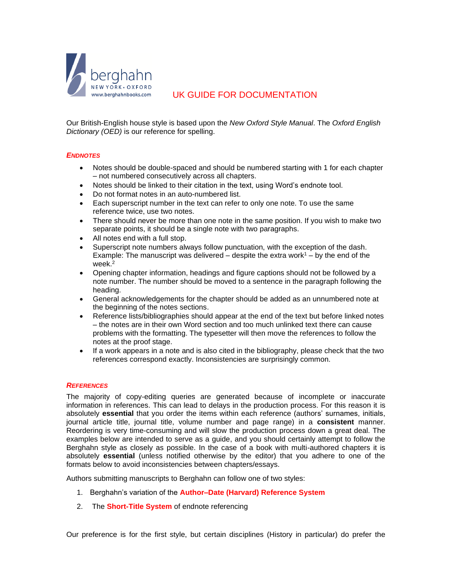

# UK GUIDE FOR DOCUMENTATION

Our British-English house style is based upon the *New Oxford Style Manual*. The *Oxford English Dictionary (OED)* is our reference for spelling.

#### *ENDNOTES*

- Notes should be double-spaced and should be numbered starting with 1 for each chapter – not numbered consecutively across all chapters.
- Notes should be linked to their citation in the text, using Word's endnote tool.
- Do not format notes in an auto-numbered list.
- Each superscript number in the text can refer to only one note. To use the same reference twice, use two notes.
- There should never be more than one note in the same position. If you wish to make two separate points, it should be a single note with two paragraphs.
- All notes end with a full stop.
- Superscript note numbers always follow punctuation, with the exception of the dash. Example: The manuscript was delivered – despite the extra work $1 - by$  the end of the week.<sup>2</sup>
- Opening chapter information, headings and figure captions should not be followed by a note number. The number should be moved to a sentence in the paragraph following the heading.
- General acknowledgements for the chapter should be added as an unnumbered note at the beginning of the notes sections.
- Reference lists/bibliographies should appear at the end of the text but before linked notes – the notes are in their own Word section and too much unlinked text there can cause problems with the formatting. The typesetter will then move the references to follow the notes at the proof stage.
- If a work appears in a note and is also cited in the bibliography, please check that the two references correspond exactly. Inconsistencies are surprisingly common.

#### *REFERENCES*

The majority of copy-editing queries are generated because of incomplete or inaccurate information in references. This can lead to delays in the production process. For this reason it is absolutely **essential** that you order the items within each reference (authors' surnames, initials, journal article title, journal title, volume number and page range) in a **consistent** manner. Reordering is very time-consuming and will slow the production process down a great deal. The examples below are intended to serve as a guide, and you should certainly attempt to follow the Berghahn style as closely as possible. In the case of a book with multi-authored chapters it is absolutely **essential** (unless notified otherwise by the editor) that you adhere to one of the formats below to avoid inconsistencies between chapters/essays.

Authors submitting manuscripts to Berghahn can follow one of two styles:

- 1. Berghahn's variation of the **Author–Date (Harvard) Reference System**
- 2. The **Short-Title System** of endnote referencing

Our preference is for the first style, but certain disciplines (History in particular) do prefer the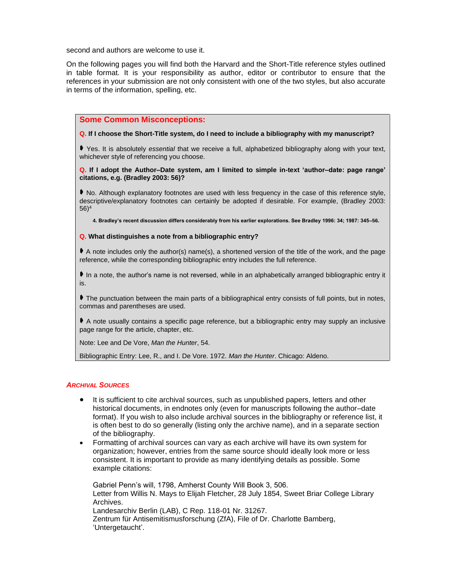second and authors are welcome to use it.

On the following pages you will find both the Harvard and the Short-Title reference styles outlined in table format. It is your responsibility as author, editor or contributor to ensure that the references in your submission are not only consistent with one of the two styles, but also accurate in terms of the information, spelling, etc.

### **Some Common Misconceptions:**

#### **Q. If I choose the Short-Title system, do I need to include a bibliography with my manuscript?**

 Yes. It is absolutely *essential* that we receive a full, alphabetized bibliography along with your text, whichever style of referencing you choose.

#### **Q. If I adopt the Author–Date system, am I limited to simple in-text 'author–date: page range' citations, e.g. (Bradley 2003: 56)?**

 No. Although explanatory footnotes are used with less frequency in the case of this reference style, descriptive/explanatory footnotes can certainly be adopted if desirable. For example, (Bradley 2003: 56)<sup>4</sup>

**4. Bradley's recent discussion differs considerably from his earlier explorations. See Bradley 1996: 34; 1987: 345–56.**

#### **Q. What distinguishes a note from a bibliographic entry?**

 $\blacklozenge$  A note includes only the author(s) name(s), a shortened version of the title of the work, and the page reference, while the corresponding bibliographic entry includes the full reference.

In a note, the author's name is not reversed, while in an alphabetically arranged bibliographic entry it is.

 The punctuation between the main parts of a bibliographical entry consists of full points, but in notes, commas and parentheses are used.

 A note usually contains a specific page reference, but a bibliographic entry may supply an inclusive page range for the article, chapter, etc.

Note: Lee and De Vore, *Man the Hunter*, 54.

Bibliographic Entry: Lee, R., and I. De Vore. 1972. *Man the Hunter*. Chicago: Aldeno.

## *ARCHIVAL SOURCES*

- It is sufficient to cite archival sources, such as unpublished papers, letters and other historical documents, in endnotes only (even for manuscripts following the author–date format). If you wish to also include archival sources in the bibliography or reference list, it is often best to do so generally (listing only the archive name), and in a separate section of the bibliography.
- Formatting of archival sources can vary as each archive will have its own system for organization; however, entries from the same source should ideally look more or less consistent. It is important to provide as many identifying details as possible. Some example citations:

Gabriel Penn's will, 1798, Amherst County Will Book 3, 506. Letter from Willis N. Mays to Elijah Fletcher, 28 July 1854, Sweet Briar College Library Archives. Landesarchiv Berlin (LAB), C Rep. 118-01 Nr. 31267. Zentrum für Antisemitismusforschung (ZfA), File of Dr. Charlotte Bamberg, 'Untergetaucht'.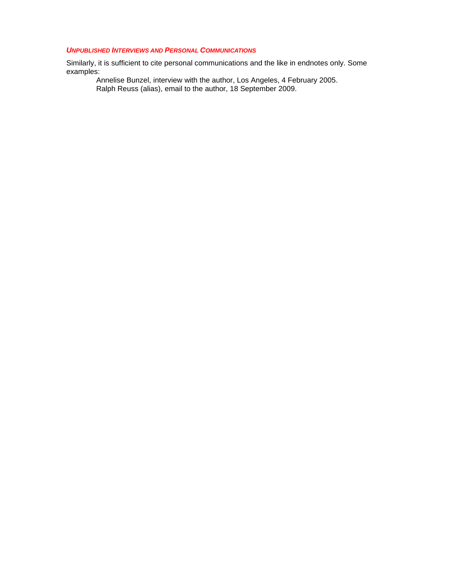## *UNPUBLISHED INTERVIEWS AND PERSONAL COMMUNICATIONS*

Similarly, it is sufficient to cite personal communications and the like in endnotes only. Some examples:

Annelise Bunzel, interview with the author, Los Angeles, 4 February 2005. Ralph Reuss (alias), email to the author, 18 September 2009.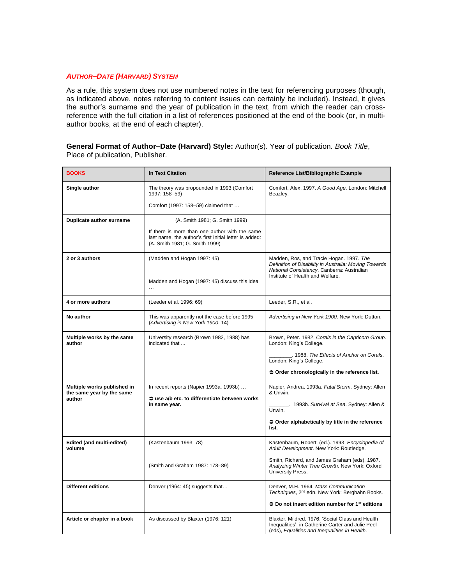## *AUTHOR–DATE (HARVARD) SYSTEM*

As a rule, this system does not use numbered notes in the text for referencing purposes (though, as indicated above, notes referring to content issues can certainly be included). Instead, it gives the author's surname and the year of publication in the text, from which the reader can crossreference with the full citation in a list of references positioned at the end of the book (or, in multiauthor books, at the end of each chapter).

**General Format of Author–Date (Harvard) Style:** Author(s). Year of publication. *Book Title*, Place of publication, Publisher.

| <b>BOOKS</b>                                                       | <b>In Text Citation</b>                                                                                                                    | Reference List/Bibliographic Example                                                                                                                                                |
|--------------------------------------------------------------------|--------------------------------------------------------------------------------------------------------------------------------------------|-------------------------------------------------------------------------------------------------------------------------------------------------------------------------------------|
| Single author                                                      | The theory was propounded in 1993 (Comfort<br>1997: 158-59)                                                                                | Comfort, Alex. 1997. A Good Age. London: Mitchell<br>Beazlev.                                                                                                                       |
|                                                                    | Comfort (1997: 158-59) claimed that                                                                                                        |                                                                                                                                                                                     |
| Duplicate author surname                                           | (A. Smith 1981; G. Smith 1999)                                                                                                             |                                                                                                                                                                                     |
|                                                                    | If there is more than one author with the same<br>last name, the author's first initial letter is added:<br>(A. Smith 1981; G. Smith 1999) |                                                                                                                                                                                     |
| 2 or 3 authors                                                     | (Madden and Hogan 1997: 45)<br>Madden and Hogan (1997: 45) discuss this idea<br>$\cdots$                                                   | Madden, Ros, and Tracie Hogan. 1997. The<br>Definition of Disability in Australia: Moving Towards<br>National Consistency. Canberra: Australian<br>Institute of Health and Welfare. |
| 4 or more authors                                                  | (Leeder et al. 1996: 69)                                                                                                                   | Leeder, S.R., et al.                                                                                                                                                                |
| No author                                                          | This was apparently not the case before 1995<br>(Advertising in New York 1900: 14)                                                         | Advertising in New York 1900. New York: Dutton.                                                                                                                                     |
| Multiple works by the same<br>author                               | University research (Brown 1982, 1988) has<br>indicated that                                                                               | Brown, Peter. 1982. Corals in the Capricorn Group.<br>London: King's College.                                                                                                       |
|                                                                    |                                                                                                                                            | . 1988. The Effects of Anchor on Corals.<br>London: King's College.                                                                                                                 |
|                                                                    |                                                                                                                                            | → Order chronologically in the reference list.                                                                                                                                      |
| Multiple works published in<br>the same year by the same<br>author | In recent reports (Napier 1993a, 1993b)<br>So use a/b etc. to differentiate between works<br>in same year.                                 | Napier, Andrea. 1993a. Fatal Storm. Sydney: Allen<br>& Unwin.                                                                                                                       |
|                                                                    |                                                                                                                                            | _. 1993b. Survival at Sea. Sydney: Allen &<br>Unwin.                                                                                                                                |
|                                                                    |                                                                                                                                            | ♦ Order alphabetically by title in the reference<br>list.                                                                                                                           |
| Edited (and multi-edited)<br>volume                                | (Kastenbaum 1993: 78)                                                                                                                      | Kastenbaum, Robert. (ed.). 1993. Encyclopedia of<br>Adult Development. New York: Routledge.                                                                                         |
|                                                                    | (Smith and Graham 1987: 178-89)                                                                                                            | Smith, Richard, and James Graham (eds). 1987.<br>Analyzing Winter Tree Growth. New York: Oxford<br>University Press.                                                                |
| <b>Different editions</b>                                          | Denver (1964: 45) suggests that                                                                                                            | Denver, M.H. 1964. Mass Communication<br>Techniques, 2 <sup>nd</sup> edn. New York: Berghahn Books.                                                                                 |
|                                                                    |                                                                                                                                            | $\clubsuit$ Do not insert edition number for 1 <sup>st</sup> editions                                                                                                               |
| Article or chapter in a book                                       | As discussed by Blaxter (1976: 121)                                                                                                        | Blaxter, Mildred. 1976. 'Social Class and Health<br>Inequalities', in Catherine Carter and Julie Peel<br>(eds), Equalities and Inequalities in Health.                              |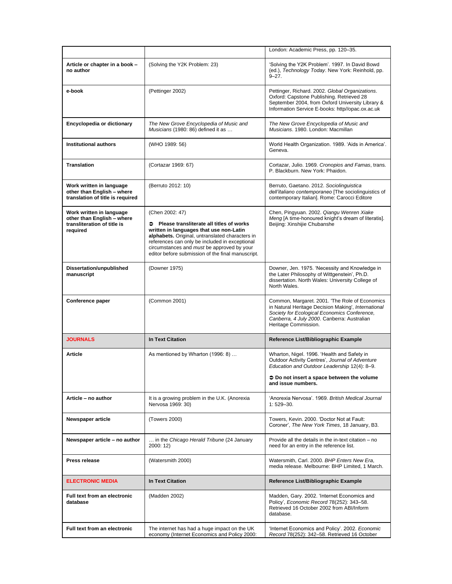|                                                                                                   |                                                                                                                                                                                                                                                                                                                             | London: Academic Press, pp. 120-35.                                                                                                                                                                                          |
|---------------------------------------------------------------------------------------------------|-----------------------------------------------------------------------------------------------------------------------------------------------------------------------------------------------------------------------------------------------------------------------------------------------------------------------------|------------------------------------------------------------------------------------------------------------------------------------------------------------------------------------------------------------------------------|
| Article or chapter in a book -<br>no author                                                       | (Solving the Y2K Problem: 23)                                                                                                                                                                                                                                                                                               | 'Solving the Y2K Problem'. 1997. In David Bowd<br>(ed.), Technology Today. New York: Reinhold, pp.<br>$9 - 27.$                                                                                                              |
| e-book                                                                                            | (Pettinger 2002)                                                                                                                                                                                                                                                                                                            | Pettinger, Richard. 2002. Global Organizations.<br>Oxford: Capstone Publishing. Retrieved 28<br>September 2004, from Oxford University Library &<br>Information Service E-books: http//opac.ox.ac.uk                         |
| Encyclopedia or dictionary                                                                        | The New Grove Encyclopedia of Music and<br>Musicians (1980: 86) defined it as                                                                                                                                                                                                                                               | The New Grove Encyclopedia of Music and<br>Musicians, 1980, London: Macmillan                                                                                                                                                |
| Institutional authors                                                                             | (WHO 1989: 56)                                                                                                                                                                                                                                                                                                              | World Health Organization. 1989. 'Aids in America'.<br>Geneva.                                                                                                                                                               |
| <b>Translation</b>                                                                                | (Cortazar 1969: 67)                                                                                                                                                                                                                                                                                                         | Cortazar, Julio. 1969. Cronopios and Famas, trans.<br>P. Blackburn, New York: Phaidon.                                                                                                                                       |
| Work written in language<br>other than English - where<br>translation of title is required        | (Berruto 2012: 10)                                                                                                                                                                                                                                                                                                          | Berruto, Gaetano. 2012. Sociolinguistica<br>dell'italiano contemporaneo [The sociolinguistics of<br>contemporary Italian]. Rome: Carocci Editore                                                                             |
| Work written in language<br>other than English - where<br>transliteration of title is<br>required | (Chen 2002: 47)<br>$\bullet$<br>Please transliterate all titles of works<br>written in languages that use non-Latin<br>alphabets. Original, untranslated characters in<br>references can only be included in exceptional<br>circumstances and must be approved by your<br>editor before submission of the final manuscript. | Chen, Pingyuan. 2002. Qiangu Wenren Xiake<br>Meng [A time-honoured knight's dream of literatis].<br>Beijing: Xinshijie Chubanshe                                                                                             |
| Dissertation/unpublished<br>manuscript                                                            | (Downer 1975)                                                                                                                                                                                                                                                                                                               | Downer, Jen. 1975. 'Necessity and Knowledge in<br>the Later Philosophy of Wittgenstein', Ph.D.<br>dissertation. North Wales: University College of<br>North Wales.                                                           |
|                                                                                                   |                                                                                                                                                                                                                                                                                                                             |                                                                                                                                                                                                                              |
| Conference paper                                                                                  | (Common 2001)                                                                                                                                                                                                                                                                                                               | Common, Margaret. 2001. 'The Role of Economics<br>in Natural Heritage Decision Making', International<br>Society for Ecological Economics Conference,<br>Canberra, 4 July 2000. Canberra: Australian<br>Heritage Commission. |
| <b>JOURNALS</b>                                                                                   | <b>In Text Citation</b>                                                                                                                                                                                                                                                                                                     | Reference List/Bibliographic Example                                                                                                                                                                                         |
| Article                                                                                           | As mentioned by Wharton (1996: 8)                                                                                                                                                                                                                                                                                           | Wharton, Nigel. 1996. 'Health and Safety in<br>Outdoor Activity Centres', Journal of Adventure<br>Education and Outdoor Leadership 12(4): 8-9.<br>→ Do not insert a space between the volume<br>and issue numbers.           |
| Article - no author                                                                               | It is a growing problem in the U.K. (Anorexia<br>Nervosa 1969: 30)                                                                                                                                                                                                                                                          | 'Anorexia Nervosa' 1969 British Medical Journal<br>$1:529 - 30.$                                                                                                                                                             |
| Newspaper article                                                                                 | (Towers 2000)                                                                                                                                                                                                                                                                                                               | Towers, Kevin. 2000. 'Doctor Not at Fault:<br>Coroner', The New York Times, 18 January, B3.                                                                                                                                  |
| Newspaper article - no author                                                                     | in the Chicago Herald Tribune (24 January<br>2000: 12)                                                                                                                                                                                                                                                                      | Provide all the details in the in-text citation – no<br>need for an entry in the reference list.                                                                                                                             |
| Press release                                                                                     | (Watersmith 2000)                                                                                                                                                                                                                                                                                                           | Watersmith, Carl. 2000. BHP Enters New Era,<br>media release. Melbourne: BHP Limited, 1 March.                                                                                                                               |
| <b>ELECTRONIC MEDIA</b>                                                                           | <b>In Text Citation</b>                                                                                                                                                                                                                                                                                                     | Reference List/Bibliographic Example                                                                                                                                                                                         |
| <b>Full text from an electronic</b><br>database                                                   | (Madden 2002)                                                                                                                                                                                                                                                                                                               | Madden, Gary. 2002. 'Internet Economics and<br>Policy', Economic Record 78(252): 343-58.<br>Retrieved 16 October 2002 from ABI/Inform<br>database.                                                                           |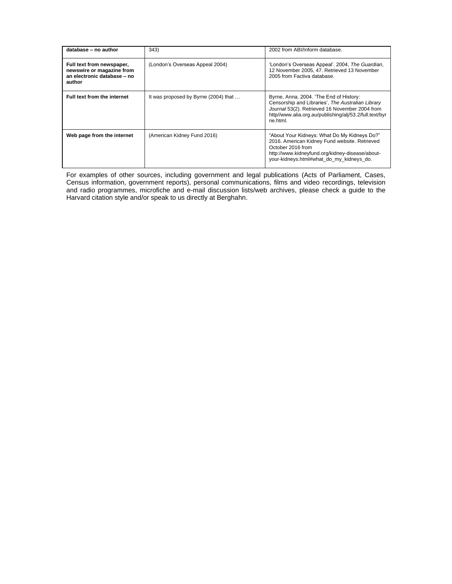| database - no author                                                                            | 343)                                 | 2002 from ABI/Inform database.                                                                                                                                                                                        |
|-------------------------------------------------------------------------------------------------|--------------------------------------|-----------------------------------------------------------------------------------------------------------------------------------------------------------------------------------------------------------------------|
| Full text from newspaper,<br>newswire or magazine from<br>an electronic database - no<br>author | (London's Overseas Appeal 2004)      | 'London's Overseas Appeal'. 2004, The Guardian,<br>12 November 2005, 47. Retrieved 13 November<br>2005 from Factiva database.                                                                                         |
| Full text from the internet                                                                     | It was proposed by Byrne (2004) that | Byrne, Anna. 2004. 'The End of History:<br>Censorship and Libraries'. The Australian Library<br>Journal 53(2). Retrieved 16 November 2004 from<br>http//www.alia.org.au/publishing/alj/53.2/full.text/byr<br>ne.html. |
| Web page from the internet                                                                      | (American Kidney Fund 2016)          | "About Your Kidneys: What Do My Kidneys Do?"<br>2016. American Kidney Fund website. Retrieved<br>October 2016 from<br>http://www.kidneyfund.org/kidney-disease/about-<br>your-kidneys.html#what do my kidneys do.     |

For examples of other sources, including government and legal publications (Acts of Parliament, Cases, Census information, government reports), personal communications, films and video recordings, television and radio programmes, microfiche and e-mail discussion lists/web archives, please check a guide to the Harvard citation style and/or speak to us directly at Berghahn.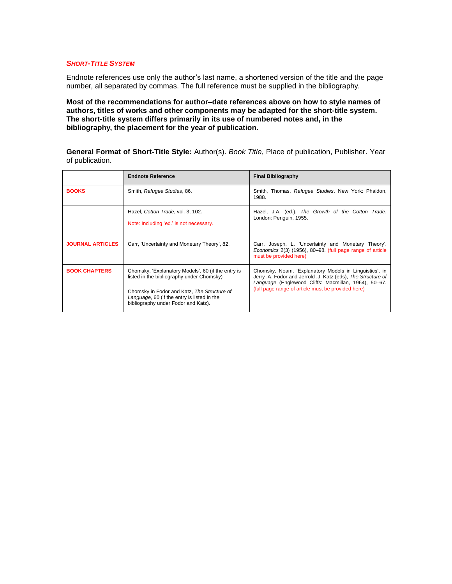## *SHORT-TITLE SYSTEM*

Endnote references use only the author's last name, a shortened version of the title and the page number, all separated by commas. The full reference must be supplied in the bibliography.

**Most of the recommendations for author–date references above on how to style names of authors, titles of works and other components may be adapted for the short-title system. The short-title system differs primarily in its use of numbered notes and, in the bibliography, the placement for the year of publication.**

**General Format of Short-Title Style:** Author(s). *Book Title*, Place of publication, Publisher. Year of publication.

|                         | <b>Endnote Reference</b>                                                                                                                                                                                                             | <b>Final Bibliography</b>                                                                                                                                                                                                           |
|-------------------------|--------------------------------------------------------------------------------------------------------------------------------------------------------------------------------------------------------------------------------------|-------------------------------------------------------------------------------------------------------------------------------------------------------------------------------------------------------------------------------------|
| <b>BOOKS</b>            | Smith, Refugee Studies, 86.                                                                                                                                                                                                          | Smith, Thomas. Refugee Studies. New York: Phaidon,<br>1988.                                                                                                                                                                         |
|                         | Hazel, Cotton Trade, vol. 3, 102.<br>Note: Including 'ed.' is not necessary.                                                                                                                                                         | Hazel, J.A. (ed.). The Growth of the Cotton Trade.<br>London: Penguin, 1955.                                                                                                                                                        |
| <b>JOURNAL ARTICLES</b> | Carr, 'Uncertainty and Monetary Theory', 82.                                                                                                                                                                                         | Carr, Joseph. L. 'Uncertainty and Monetary Theory'.<br>Economics 2(3) (1956), 80–98. (full page range of article<br>must be provided here)                                                                                          |
| <b>BOOK CHAPTERS</b>    | Chomsky, 'Explanatory Models', 60 (if the entry is<br>listed in the bibliography under Chomsky)<br>Chomsky in Fodor and Katz, The Structure of<br>Language, 60 (if the entry is listed in the<br>bibliography under Fodor and Katz). | Chomsky, Noam. Explanatory Models in Linguistics', in<br>Jerry .A. Fodor and Jerrold .J. Katz (eds), The Structure of<br>Language (Englewood Cliffs: Macmillan, 1964), 50–67.<br>(full page range of article must be provided here) |